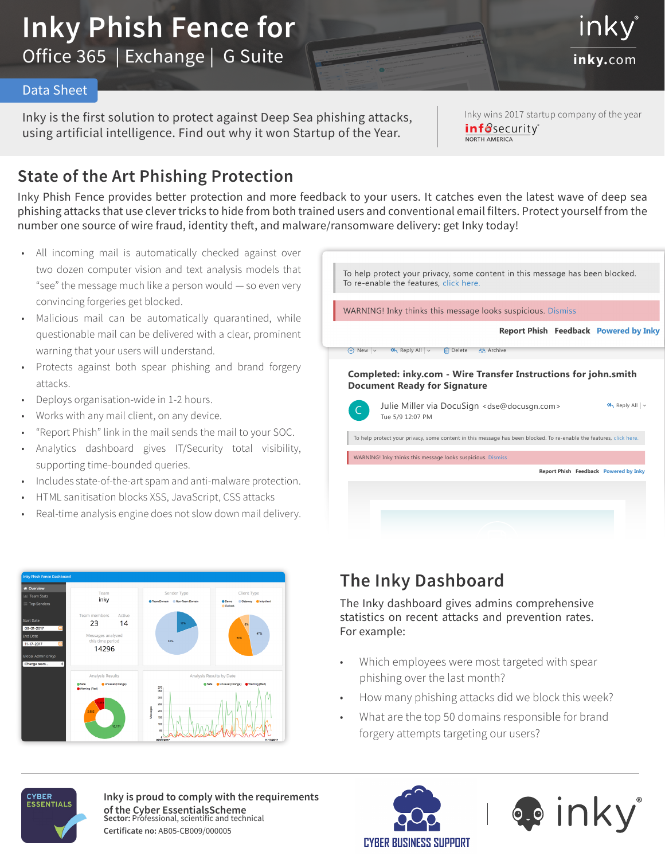# **Inky Phish Fence for**  Office 365 | Exchange | G Suite **inky.**com

#### Data Sheet

Inky is the first solution to protect against Deep Sea phishing attacks, using artificial intelligence. Find out why it won Startup of the Year.

Inky wins 2017 startup company of the year infosecurity<sup>®</sup> NORTH AMERICA

inkv

### **State of the Art Phishing Protection**

Inky Phish Fence provides better protection and more feedback to your users. It catches even the latest wave of deep sea phishing attacks that use clever tricks to hide from both trained users and conventional email filters. Protect yourself from the number one source of wire fraud, identity theft, and malware/ransomware delivery: get Inky today!

- All incoming mail is automatically checked against over two dozen computer vision and text analysis models that "see" the message much like a person would — so even very convincing forgeries get blocked.
- Malicious mail can be automatically quarantined, while questionable mail can be delivered with a clear, prominent warning that your users will understand.
- Protects against both spear phishing and brand forgery attacks.
- Deploys organisation-wide in 1-2 hours.
- Works with any mail client, on any device.
- "Report Phish" link in the mail sends the mail to your SOC.
- Analytics dashboard gives IT/Security total visibility, supporting time-bounded queries.
- Includes state-of-the-art spam and anti-malware protection.
- HTML sanitisation blocks XSS, JavaScript, CSS attacks
- Real-time analysis engine does not slow down mail delivery.





## The Inky Dashboard

to review and sign. statistics on recent attacks and prevention rates. The Inky dashboard gives admins comprehensive For example:

- Which employees were most targeted with spear hing over the last month?  $\overline{a}$ phishing over the last month?
- How many phishing attacks did we block this week?
- What are the top 50 domains responsible for brand ary attor forgery attempts targeting our users?



**Sector:** Professional, scientific and technical **Certificate no:** AB05-CB009/000005 **Inky is proud to comply with the requirements of the Cyber EssentialsScheme**



Powered by